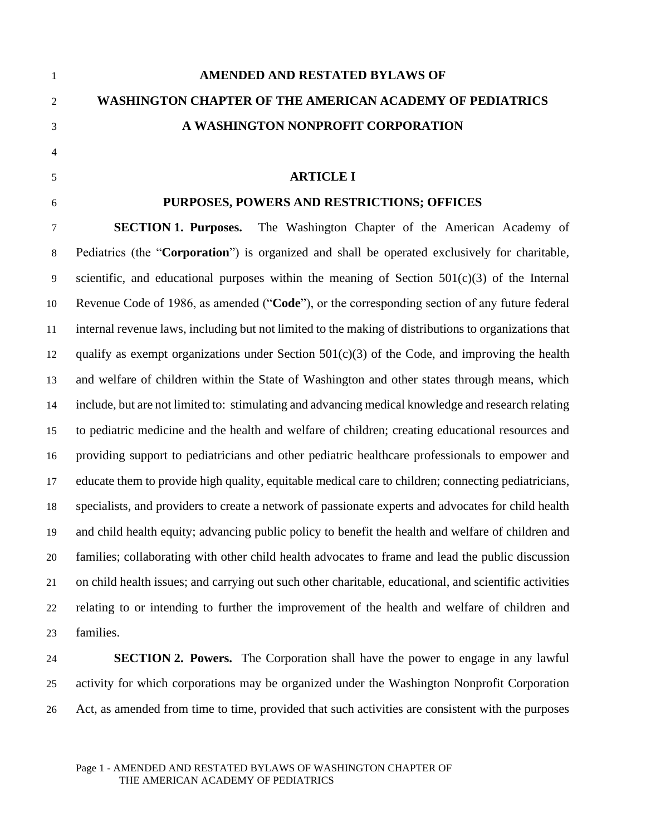| AMENDED AND RESTATED BYLAWS OF                                  |
|-----------------------------------------------------------------|
| <b>WASHINGTON CHAPTER OF THE AMERICAN ACADEMY OF PEDIATRICS</b> |
| A WASHINGTON NONPROFIT CORPORATION                              |

# **ARTICLE I**

# **PURPOSES, POWERS AND RESTRICTIONS; OFFICES**

 **SECTION 1. Purposes.** The Washington Chapter of the American Academy of Pediatrics (the "**Corporation**") is organized and shall be operated exclusively for charitable, scientific, and educational purposes within the meaning of Section 501(c)(3) of the Internal Revenue Code of 1986, as amended ("**Code**"), or the corresponding section of any future federal internal revenue laws, including but not limited to the making of distributions to organizations that 12 qualify as exempt organizations under Section  $501(c)(3)$  of the Code, and improving the health and welfare of children within the State of Washington and other states through means, which include, but are not limited to: stimulating and advancing medical knowledge and research relating to pediatric medicine and the health and welfare of children; creating educational resources and providing support to pediatricians and other pediatric healthcare professionals to empower and educate them to provide high quality, equitable medical care to children; connecting pediatricians, specialists, and providers to create a network of passionate experts and advocates for child health and child health equity; advancing public policy to benefit the health and welfare of children and families; collaborating with other child health advocates to frame and lead the public discussion on child health issues; and carrying out such other charitable, educational, and scientific activities relating to or intending to further the improvement of the health and welfare of children and families.

 **SECTION 2. Powers.** The Corporation shall have the power to engage in any lawful activity for which corporations may be organized under the Washington Nonprofit Corporation Act, as amended from time to time, provided that such activities are consistent with the purposes

#### Page 1 - AMENDED AND RESTATED BYLAWS OF WASHINGTON CHAPTER OF THE AMERICAN ACADEMY OF PEDIATRICS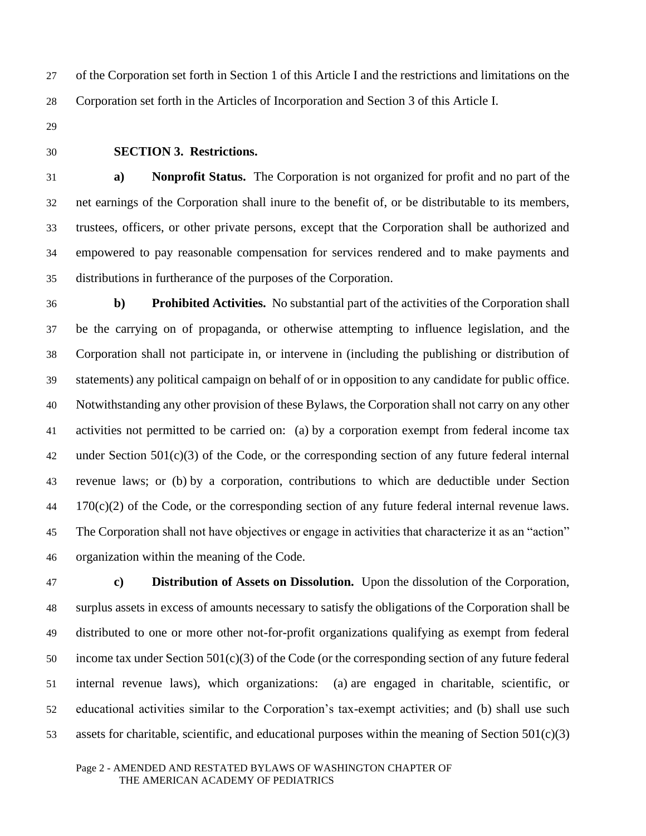of the Corporation set forth in Section 1 of this Article I and the restrictions and limitations on the Corporation set forth in the Articles of Incorporation and Section 3 of this Article I.

- 
- 

# **SECTION 3. Restrictions.**

 **a) Nonprofit Status.** The Corporation is not organized for profit and no part of the net earnings of the Corporation shall inure to the benefit of, or be distributable to its members, trustees, officers, or other private persons, except that the Corporation shall be authorized and empowered to pay reasonable compensation for services rendered and to make payments and distributions in furtherance of the purposes of the Corporation.

 **b) Prohibited Activities.** No substantial part of the activities of the Corporation shall be the carrying on of propaganda, or otherwise attempting to influence legislation, and the Corporation shall not participate in, or intervene in (including the publishing or distribution of statements) any political campaign on behalf of or in opposition to any candidate for public office. Notwithstanding any other provision of these Bylaws, the Corporation shall not carry on any other activities not permitted to be carried on: (a) by a corporation exempt from federal income tax under Section 501(c)(3) of the Code, or the corresponding section of any future federal internal revenue laws; or (b) by a corporation, contributions to which are deductible under Section 170(c)(2) of the Code, or the corresponding section of any future federal internal revenue laws. The Corporation shall not have objectives or engage in activities that characterize it as an "action" organization within the meaning of the Code.

 **c) Distribution of Assets on Dissolution.** Upon the dissolution of the Corporation, surplus assets in excess of amounts necessary to satisfy the obligations of the Corporation shall be distributed to one or more other not-for-profit organizations qualifying as exempt from federal income tax under Section 501(c)(3) of the Code (or the corresponding section of any future federal internal revenue laws), which organizations: (a) are engaged in charitable, scientific, or educational activities similar to the Corporation's tax-exempt activities; and (b) shall use such assets for charitable, scientific, and educational purposes within the meaning of Section 501(c)(3)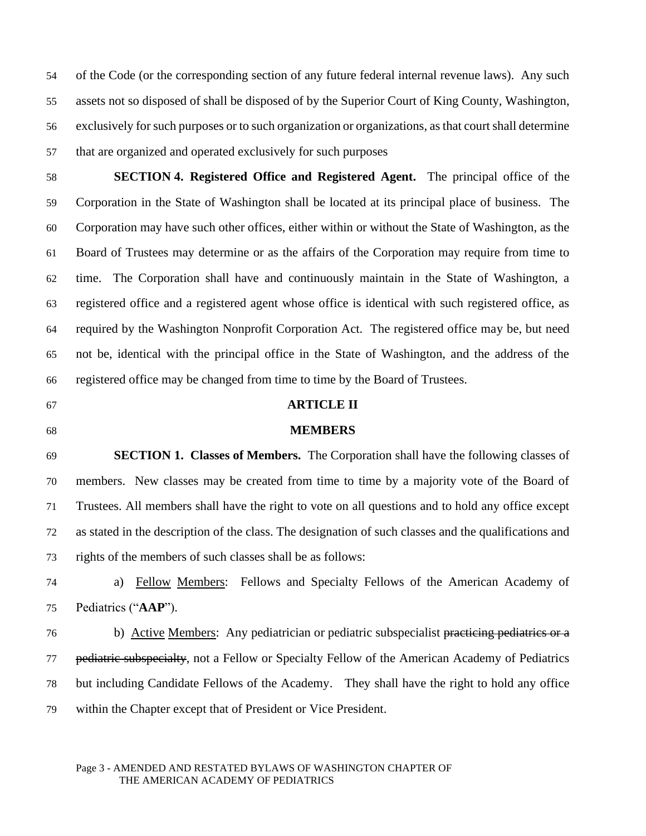of the Code (or the corresponding section of any future federal internal revenue laws). Any such assets not so disposed of shall be disposed of by the Superior Court of King County, Washington, exclusively for such purposes or to such organization or organizations, as that court shall determine that are organized and operated exclusively for such purposes

 **SECTION 4. Registered Office and Registered Agent.** The principal office of the Corporation in the State of Washington shall be located at its principal place of business. The Corporation may have such other offices, either within or without the State of Washington, as the Board of Trustees may determine or as the affairs of the Corporation may require from time to time. The Corporation shall have and continuously maintain in the State of Washington, a registered office and a registered agent whose office is identical with such registered office, as required by the Washington Nonprofit Corporation Act. The registered office may be, but need not be, identical with the principal office in the State of Washington, and the address of the registered office may be changed from time to time by the Board of Trustees.

# **ARTICLE II**

#### **MEMBERS**

 **SECTION 1. Classes of Members.** The Corporation shall have the following classes of members. New classes may be created from time to time by a majority vote of the Board of Trustees. All members shall have the right to vote on all questions and to hold any office except as stated in the description of the class. The designation of such classes and the qualifications and rights of the members of such classes shall be as follows:

 a) Fellow Members: Fellows and Specialty Fellows of the American Academy of Pediatrics ("**AAP**").

76 b) Active Members: Any pediatrician or pediatric subspecialist practicing pediatrics or a 77 pediatric subspecialty, not a Fellow or Specialty Fellow of the American Academy of Pediatrics but including Candidate Fellows of the Academy. They shall have the right to hold any office within the Chapter except that of President or Vice President.

#### Page 3 - AMENDED AND RESTATED BYLAWS OF WASHINGTON CHAPTER OF THE AMERICAN ACADEMY OF PEDIATRICS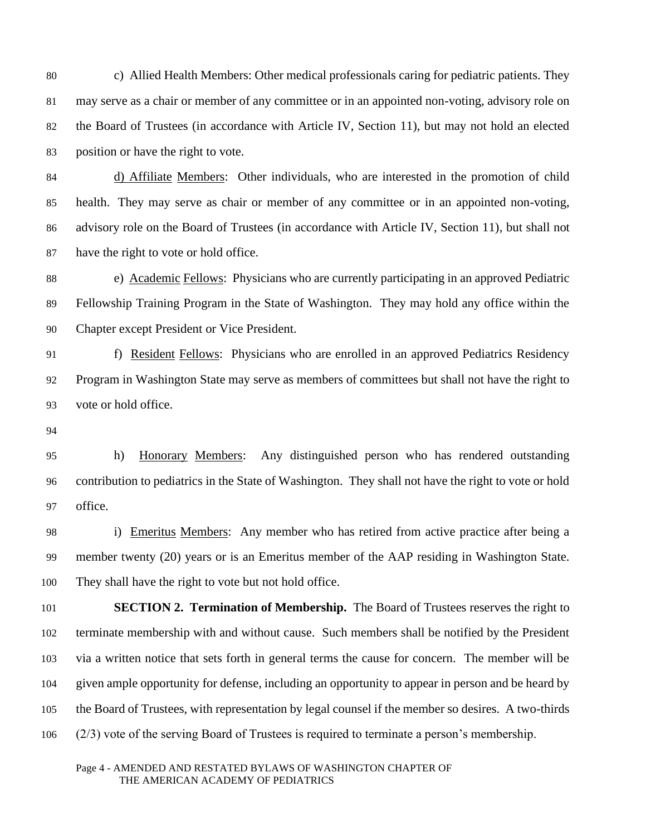c) Allied Health Members: Other medical professionals caring for pediatric patients. They may serve as a chair or member of any committee or in an appointed non-voting, advisory role on the Board of Trustees (in accordance with Article IV, Section 11), but may not hold an elected position or have the right to vote.

 d) Affiliate Members: Other individuals, who are interested in the promotion of child health. They may serve as chair or member of any committee or in an appointed non-voting, advisory role on the Board of Trustees (in accordance with Article IV, Section 11), but shall not have the right to vote or hold office.

88 e) Academic Fellows: Physicians who are currently participating in an approved Pediatric Fellowship Training Program in the State of Washington. They may hold any office within the Chapter except President or Vice President.

 f) Resident Fellows: Physicians who are enrolled in an approved Pediatrics Residency Program in Washington State may serve as members of committees but shall not have the right to vote or hold office.

 h) Honorary Members: Any distinguished person who has rendered outstanding contribution to pediatrics in the State of Washington. They shall not have the right to vote or hold office.

 i) Emeritus Members: Any member who has retired from active practice after being a member twenty (20) years or is an Emeritus member of the AAP residing in Washington State. They shall have the right to vote but not hold office.

 **SECTION 2. Termination of Membership.** The Board of Trustees reserves the right to terminate membership with and without cause. Such members shall be notified by the President via a written notice that sets forth in general terms the cause for concern. The member will be given ample opportunity for defense, including an opportunity to appear in person and be heard by the Board of Trustees, with representation by legal counsel if the member so desires. A two-thirds (2/3) vote of the serving Board of Trustees is required to terminate a person's membership.

Page 4 - AMENDED AND RESTATED BYLAWS OF WASHINGTON CHAPTER OF THE AMERICAN ACADEMY OF PEDIATRICS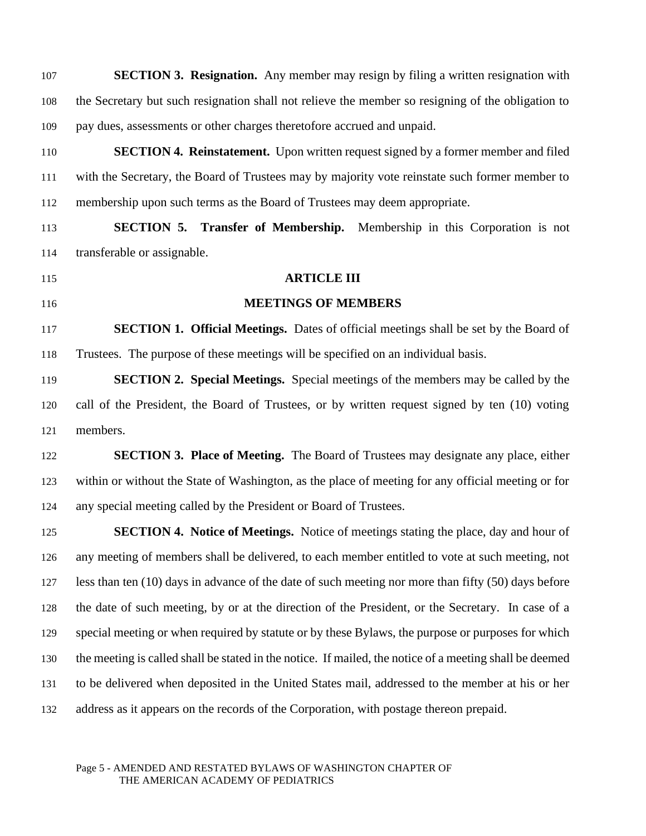| 107 | <b>SECTION 3. Resignation.</b> Any member may resign by filing a written resignation with               |
|-----|---------------------------------------------------------------------------------------------------------|
| 108 | the Secretary but such resignation shall not relieve the member so resigning of the obligation to       |
| 109 | pay dues, assessments or other charges theretofore accrued and unpaid.                                  |
| 110 | <b>SECTION 4. Reinstatement.</b> Upon written request signed by a former member and filed               |
| 111 | with the Secretary, the Board of Trustees may by majority vote reinstate such former member to          |
| 112 | membership upon such terms as the Board of Trustees may deem appropriate.                               |
| 113 | <b>SECTION 5. Transfer of Membership.</b> Membership in this Corporation is not                         |
| 114 | transferable or assignable.                                                                             |
| 115 | <b>ARTICLE III</b>                                                                                      |
| 116 | <b>MEETINGS OF MEMBERS</b>                                                                              |
| 117 | <b>SECTION 1. Official Meetings.</b> Dates of official meetings shall be set by the Board of            |
| 118 | Trustees. The purpose of these meetings will be specified on an individual basis.                       |
| 119 | <b>SECTION 2. Special Meetings.</b> Special meetings of the members may be called by the                |
| 120 | call of the President, the Board of Trustees, or by written request signed by ten (10) voting           |
| 121 | members.                                                                                                |
| 122 | <b>SECTION 3. Place of Meeting.</b> The Board of Trustees may designate any place, either               |
| 123 | within or without the State of Washington, as the place of meeting for any official meeting or for      |
| 124 | any special meeting called by the President or Board of Trustees.                                       |
| 125 | <b>SECTION 4. Notice of Meetings.</b> Notice of meetings stating the place, day and hour of             |
| 126 | any meeting of members shall be delivered, to each member entitled to vote at such meeting, not         |
| 127 | less than ten (10) days in advance of the date of such meeting nor more than fifty (50) days before     |
| 128 | the date of such meeting, by or at the direction of the President, or the Secretary. In case of a       |
| 129 | special meeting or when required by statute or by these Bylaws, the purpose or purposes for which       |
| 130 | the meeting is called shall be stated in the notice. If mailed, the notice of a meeting shall be deemed |
| 131 | to be delivered when deposited in the United States mail, addressed to the member at his or her         |
| 132 | address as it appears on the records of the Corporation, with postage thereon prepaid.                  |
|     |                                                                                                         |

#### Page 5 - AMENDED AND RESTATED BYLAWS OF WASHINGTON CHAPTER OF THE AMERICAN ACADEMY OF PEDIATRICS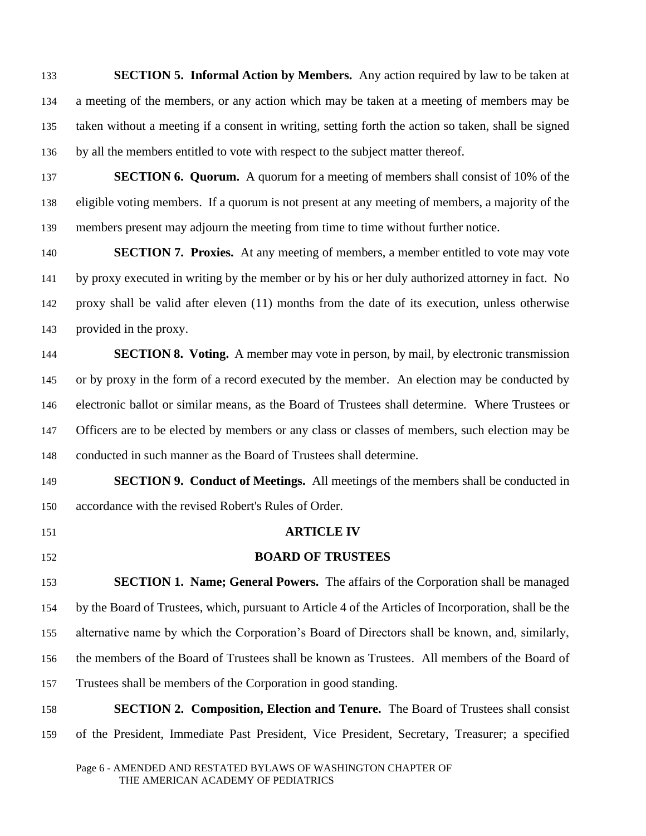**SECTION 5. Informal Action by Members.** Any action required by law to be taken at a meeting of the members, or any action which may be taken at a meeting of members may be taken without a meeting if a consent in writing, setting forth the action so taken, shall be signed by all the members entitled to vote with respect to the subject matter thereof.

 **SECTION 6. Quorum.** A quorum for a meeting of members shall consist of 10% of the eligible voting members. If a quorum is not present at any meeting of members, a majority of the members present may adjourn the meeting from time to time without further notice.

 **SECTION 7. Proxies.** At any meeting of members, a member entitled to vote may vote by proxy executed in writing by the member or by his or her duly authorized attorney in fact. No proxy shall be valid after eleven (11) months from the date of its execution, unless otherwise provided in the proxy.

 **SECTION 8. Voting.** A member may vote in person, by mail, by electronic transmission or by proxy in the form of a record executed by the member. An election may be conducted by electronic ballot or similar means, as the Board of Trustees shall determine. Where Trustees or 147 Officers are to be elected by members or any class or classes of members, such election may be conducted in such manner as the Board of Trustees shall determine.

 **SECTION 9. Conduct of Meetings.** All meetings of the members shall be conducted in accordance with the revised Robert's Rules of Order.

# **ARTICLE IV**

# **BOARD OF TRUSTEES**

 **SECTION 1. Name; General Powers.** The affairs of the Corporation shall be managed by the Board of Trustees, which, pursuant to Article 4 of the Articles of Incorporation, shall be the alternative name by which the Corporation's Board of Directors shall be known, and, similarly, the members of the Board of Trustees shall be known as Trustees. All members of the Board of Trustees shall be members of the Corporation in good standing.

 **SECTION 2. Composition, Election and Tenure.** The Board of Trustees shall consist of the President, Immediate Past President, Vice President, Secretary, Treasurer; a specified

Page 6 - AMENDED AND RESTATED BYLAWS OF WASHINGTON CHAPTER OF THE AMERICAN ACADEMY OF PEDIATRICS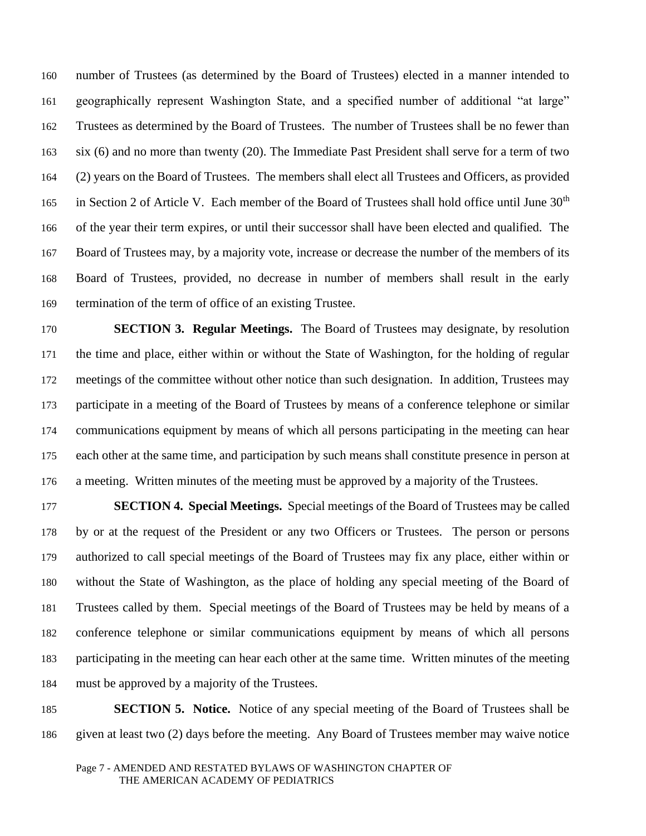number of Trustees (as determined by the Board of Trustees) elected in a manner intended to geographically represent Washington State, and a specified number of additional "at large" Trustees as determined by the Board of Trustees. The number of Trustees shall be no fewer than six (6) and no more than twenty (20). The Immediate Past President shall serve for a term of two (2) years on the Board of Trustees. The members shall elect all Trustees and Officers, as provided 165 in Section 2 of Article V. Each member of the Board of Trustees shall hold office until June  $30<sup>th</sup>$  of the year their term expires, or until their successor shall have been elected and qualified. The Board of Trustees may, by a majority vote, increase or decrease the number of the members of its Board of Trustees, provided, no decrease in number of members shall result in the early termination of the term of office of an existing Trustee.

 **SECTION 3. Regular Meetings.** The Board of Trustees may designate, by resolution the time and place, either within or without the State of Washington, for the holding of regular meetings of the committee without other notice than such designation. In addition, Trustees may participate in a meeting of the Board of Trustees by means of a conference telephone or similar communications equipment by means of which all persons participating in the meeting can hear each other at the same time, and participation by such means shall constitute presence in person at a meeting. Written minutes of the meeting must be approved by a majority of the Trustees.

 **SECTION 4. Special Meetings.** Special meetings of the Board of Trustees may be called by or at the request of the President or any two Officers or Trustees. The person or persons authorized to call special meetings of the Board of Trustees may fix any place, either within or without the State of Washington, as the place of holding any special meeting of the Board of Trustees called by them. Special meetings of the Board of Trustees may be held by means of a conference telephone or similar communications equipment by means of which all persons participating in the meeting can hear each other at the same time. Written minutes of the meeting must be approved by a majority of the Trustees.

 **SECTION 5. Notice.** Notice of any special meeting of the Board of Trustees shall be given at least two (2) days before the meeting. Any Board of Trustees member may waive notice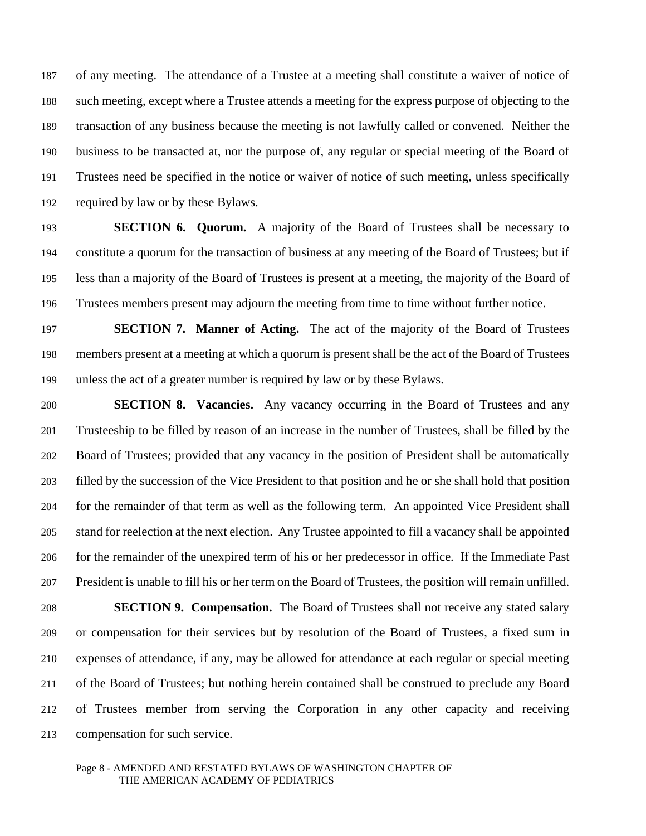of any meeting. The attendance of a Trustee at a meeting shall constitute a waiver of notice of such meeting, except where a Trustee attends a meeting for the express purpose of objecting to the transaction of any business because the meeting is not lawfully called or convened. Neither the business to be transacted at, nor the purpose of, any regular or special meeting of the Board of Trustees need be specified in the notice or waiver of notice of such meeting, unless specifically required by law or by these Bylaws.

 **SECTION 6. Quorum.** A majority of the Board of Trustees shall be necessary to constitute a quorum for the transaction of business at any meeting of the Board of Trustees; but if less than a majority of the Board of Trustees is present at a meeting, the majority of the Board of Trustees members present may adjourn the meeting from time to time without further notice.

 **SECTION 7. Manner of Acting.** The act of the majority of the Board of Trustees members present at a meeting at which a quorum is present shall be the act of the Board of Trustees unless the act of a greater number is required by law or by these Bylaws.

 **SECTION 8. Vacancies.** Any vacancy occurring in the Board of Trustees and any Trusteeship to be filled by reason of an increase in the number of Trustees, shall be filled by the Board of Trustees; provided that any vacancy in the position of President shall be automatically filled by the succession of the Vice President to that position and he or she shall hold that position for the remainder of that term as well as the following term. An appointed Vice President shall stand for reelection at the next election. Any Trustee appointed to fill a vacancy shall be appointed for the remainder of the unexpired term of his or her predecessor in office. If the Immediate Past President is unable to fill his or her term on the Board of Trustees, the position will remain unfilled.

 **SECTION 9. Compensation.** The Board of Trustees shall not receive any stated salary or compensation for their services but by resolution of the Board of Trustees, a fixed sum in expenses of attendance, if any, may be allowed for attendance at each regular or special meeting of the Board of Trustees; but nothing herein contained shall be construed to preclude any Board of Trustees member from serving the Corporation in any other capacity and receiving compensation for such service.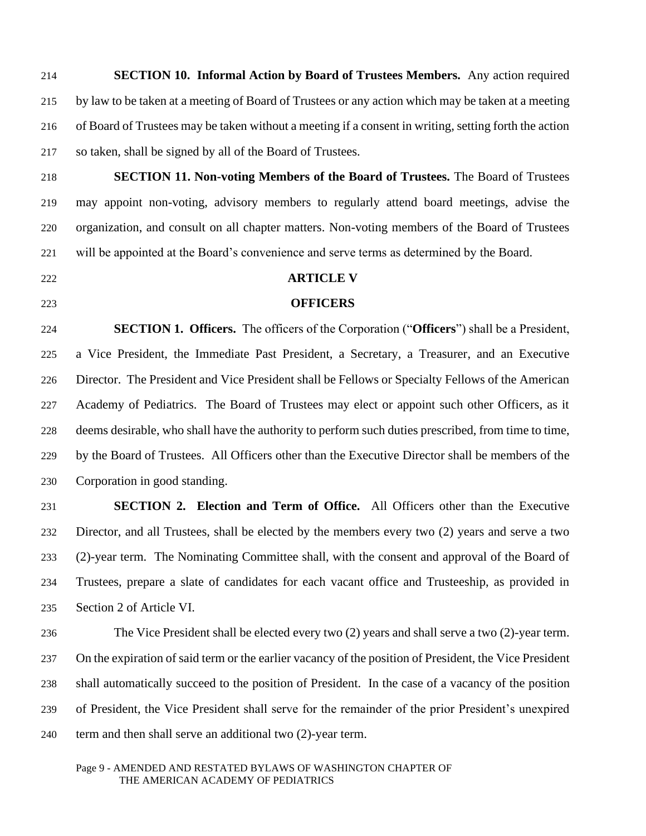**SECTION 10. Informal Action by Board of Trustees Members.** Any action required by law to be taken at a meeting of Board of Trustees or any action which may be taken at a meeting of Board of Trustees may be taken without a meeting if a consent in writing, setting forth the action so taken, shall be signed by all of the Board of Trustees.

 **SECTION 11. Non-voting Members of the Board of Trustees.** The Board of Trustees may appoint non-voting, advisory members to regularly attend board meetings, advise the organization, and consult on all chapter matters. Non-voting members of the Board of Trustees will be appointed at the Board's convenience and serve terms as determined by the Board.

# **ARTICLE V**

# **OFFICERS**

 **SECTION 1. Officers.** The officers of the Corporation ("**Officers**") shall be a President, a Vice President, the Immediate Past President, a Secretary, a Treasurer, and an Executive Director. The President and Vice President shall be Fellows or Specialty Fellows of the American Academy of Pediatrics. The Board of Trustees may elect or appoint such other Officers, as it deems desirable, who shall have the authority to perform such duties prescribed, from time to time, by the Board of Trustees. All Officers other than the Executive Director shall be members of the Corporation in good standing.

 **SECTION 2. Election and Term of Office.** All Officers other than the Executive Director, and all Trustees, shall be elected by the members every two (2) years and serve a two (2)-year term. The Nominating Committee shall, with the consent and approval of the Board of Trustees, prepare a slate of candidates for each vacant office and Trusteeship, as provided in Section 2 of Article VI.

 The Vice President shall be elected every two (2) years and shall serve a two (2)-year term. On the expiration of said term or the earlier vacancy of the position of President, the Vice President shall automatically succeed to the position of President. In the case of a vacancy of the position of President, the Vice President shall serve for the remainder of the prior President's unexpired term and then shall serve an additional two (2)-year term.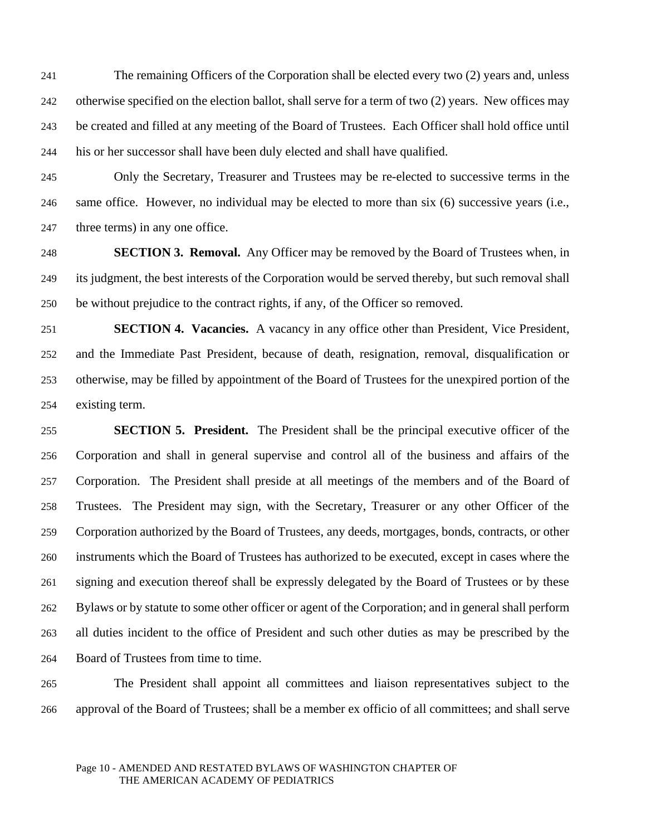The remaining Officers of the Corporation shall be elected every two (2) years and, unless otherwise specified on the election ballot, shall serve for a term of two (2) years. New offices may be created and filled at any meeting of the Board of Trustees. Each Officer shall hold office until his or her successor shall have been duly elected and shall have qualified.

 Only the Secretary, Treasurer and Trustees may be re-elected to successive terms in the same office. However, no individual may be elected to more than six (6) successive years (i.e., 247 three terms) in any one office.

 **SECTION 3. Removal.** Any Officer may be removed by the Board of Trustees when, in its judgment, the best interests of the Corporation would be served thereby, but such removal shall be without prejudice to the contract rights, if any, of the Officer so removed.

 **SECTION 4. Vacancies.** A vacancy in any office other than President, Vice President, and the Immediate Past President, because of death, resignation, removal, disqualification or otherwise, may be filled by appointment of the Board of Trustees for the unexpired portion of the existing term.

 **SECTION 5. President.** The President shall be the principal executive officer of the Corporation and shall in general supervise and control all of the business and affairs of the Corporation. The President shall preside at all meetings of the members and of the Board of Trustees. The President may sign, with the Secretary, Treasurer or any other Officer of the Corporation authorized by the Board of Trustees, any deeds, mortgages, bonds, contracts, or other instruments which the Board of Trustees has authorized to be executed, except in cases where the signing and execution thereof shall be expressly delegated by the Board of Trustees or by these Bylaws or by statute to some other officer or agent of the Corporation; and in general shall perform all duties incident to the office of President and such other duties as may be prescribed by the Board of Trustees from time to time.

 The President shall appoint all committees and liaison representatives subject to the approval of the Board of Trustees; shall be a member ex officio of all committees; and shall serve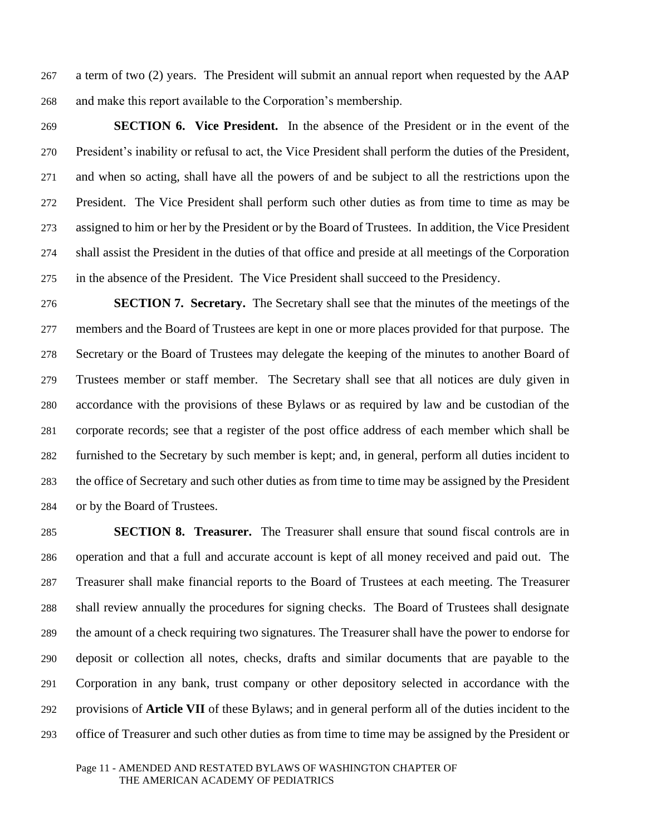a term of two (2) years. The President will submit an annual report when requested by the AAP and make this report available to the Corporation's membership.

 **SECTION 6. Vice President.** In the absence of the President or in the event of the President's inability or refusal to act, the Vice President shall perform the duties of the President, and when so acting, shall have all the powers of and be subject to all the restrictions upon the President. The Vice President shall perform such other duties as from time to time as may be assigned to him or her by the President or by the Board of Trustees. In addition, the Vice President shall assist the President in the duties of that office and preside at all meetings of the Corporation in the absence of the President. The Vice President shall succeed to the Presidency.

 **SECTION 7. Secretary.** The Secretary shall see that the minutes of the meetings of the members and the Board of Trustees are kept in one or more places provided for that purpose. The Secretary or the Board of Trustees may delegate the keeping of the minutes to another Board of Trustees member or staff member. The Secretary shall see that all notices are duly given in accordance with the provisions of these Bylaws or as required by law and be custodian of the corporate records; see that a register of the post office address of each member which shall be furnished to the Secretary by such member is kept; and, in general, perform all duties incident to the office of Secretary and such other duties as from time to time may be assigned by the President or by the Board of Trustees.

 **SECTION 8. Treasurer.** The Treasurer shall ensure that sound fiscal controls are in operation and that a full and accurate account is kept of all money received and paid out. The Treasurer shall make financial reports to the Board of Trustees at each meeting. The Treasurer shall review annually the procedures for signing checks. The Board of Trustees shall designate the amount of a check requiring two signatures. The Treasurer shall have the power to endorse for deposit or collection all notes, checks, drafts and similar documents that are payable to the Corporation in any bank, trust company or other depository selected in accordance with the provisions of **Article VII** of these Bylaws; and in general perform all of the duties incident to the office of Treasurer and such other duties as from time to time may be assigned by the President or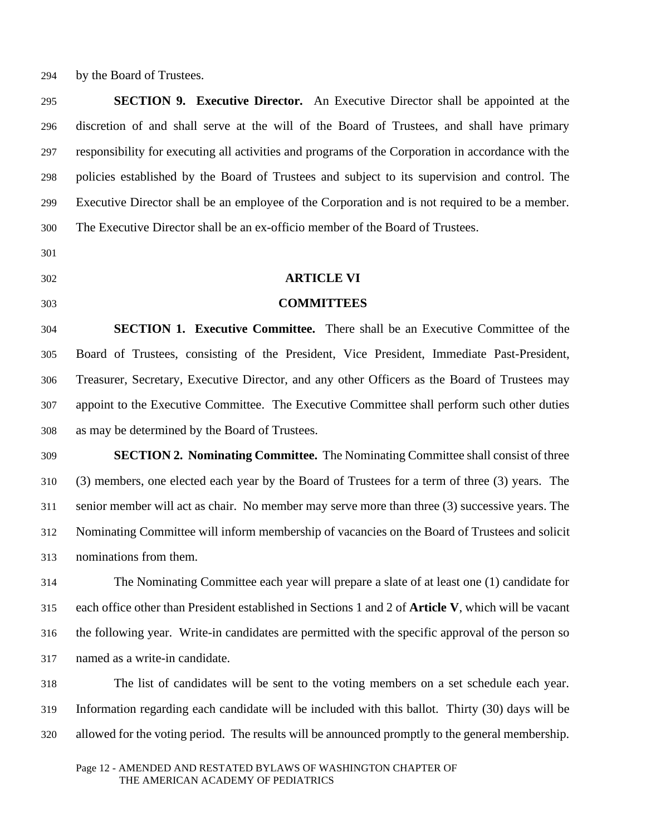by the Board of Trustees.

 **SECTION 9. Executive Director.** An Executive Director shall be appointed at the discretion of and shall serve at the will of the Board of Trustees, and shall have primary responsibility for executing all activities and programs of the Corporation in accordance with the policies established by the Board of Trustees and subject to its supervision and control. The Executive Director shall be an employee of the Corporation and is not required to be a member. The Executive Director shall be an ex-officio member of the Board of Trustees.

- 
- 
- 

# **ARTICLE VI**

# **COMMITTEES**

 **SECTION 1. Executive Committee.** There shall be an Executive Committee of the Board of Trustees, consisting of the President, Vice President, Immediate Past-President, Treasurer, Secretary, Executive Director, and any other Officers as the Board of Trustees may appoint to the Executive Committee. The Executive Committee shall perform such other duties as may be determined by the Board of Trustees.

 **SECTION 2. Nominating Committee.** The Nominating Committee shall consist of three (3) members, one elected each year by the Board of Trustees for a term of three (3) years. The senior member will act as chair. No member may serve more than three (3) successive years. The Nominating Committee will inform membership of vacancies on the Board of Trustees and solicit nominations from them.

 The Nominating Committee each year will prepare a slate of at least one (1) candidate for each office other than President established in Sections 1 and 2 of **Article V**, which will be vacant the following year. Write-in candidates are permitted with the specific approval of the person so named as a write-in candidate.

 The list of candidates will be sent to the voting members on a set schedule each year. Information regarding each candidate will be included with this ballot. Thirty (30) days will be allowed for the voting period. The results will be announced promptly to the general membership.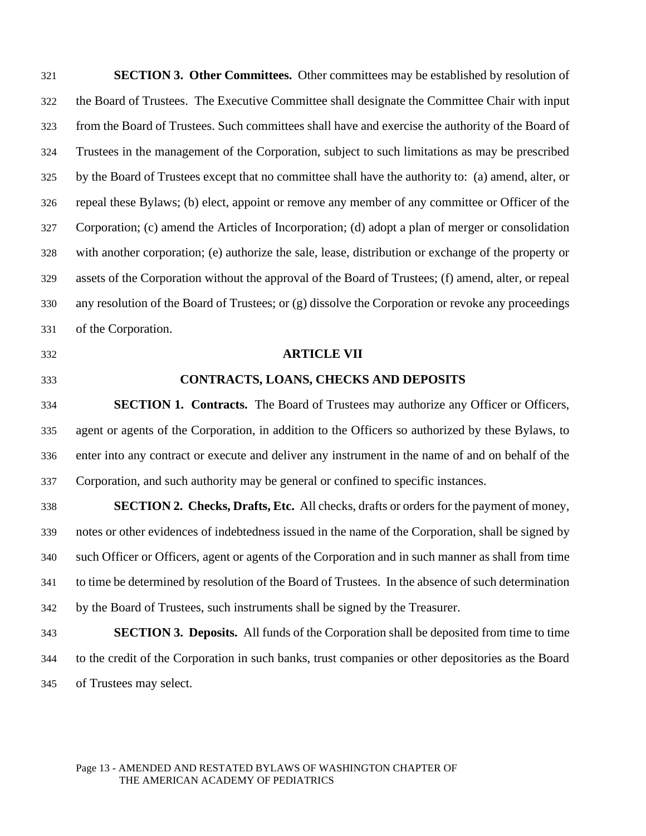**SECTION 3. Other Committees.** Other committees may be established by resolution of the Board of Trustees. The Executive Committee shall designate the Committee Chair with input from the Board of Trustees. Such committees shall have and exercise the authority of the Board of Trustees in the management of the Corporation, subject to such limitations as may be prescribed by the Board of Trustees except that no committee shall have the authority to: (a) amend, alter, or repeal these Bylaws; (b) elect, appoint or remove any member of any committee or Officer of the Corporation; (c) amend the Articles of Incorporation; (d) adopt a plan of merger or consolidation with another corporation; (e) authorize the sale, lease, distribution or exchange of the property or assets of the Corporation without the approval of the Board of Trustees; (f) amend, alter, or repeal any resolution of the Board of Trustees; or (g) dissolve the Corporation or revoke any proceedings of the Corporation.

- 
- 

#### **ARTICLE VII**

# **CONTRACTS, LOANS, CHECKS AND DEPOSITS**

 **SECTION 1. Contracts.** The Board of Trustees may authorize any Officer or Officers, agent or agents of the Corporation, in addition to the Officers so authorized by these Bylaws, to enter into any contract or execute and deliver any instrument in the name of and on behalf of the Corporation, and such authority may be general or confined to specific instances.

 **SECTION 2. Checks, Drafts, Etc.** All checks, drafts or orders for the payment of money, notes or other evidences of indebtedness issued in the name of the Corporation, shall be signed by such Officer or Officers, agent or agents of the Corporation and in such manner as shall from time to time be determined by resolution of the Board of Trustees. In the absence of such determination by the Board of Trustees, such instruments shall be signed by the Treasurer.

 **SECTION 3. Deposits.** All funds of the Corporation shall be deposited from time to time to the credit of the Corporation in such banks, trust companies or other depositories as the Board of Trustees may select.

#### Page 13 - AMENDED AND RESTATED BYLAWS OF WASHINGTON CHAPTER OF THE AMERICAN ACADEMY OF PEDIATRICS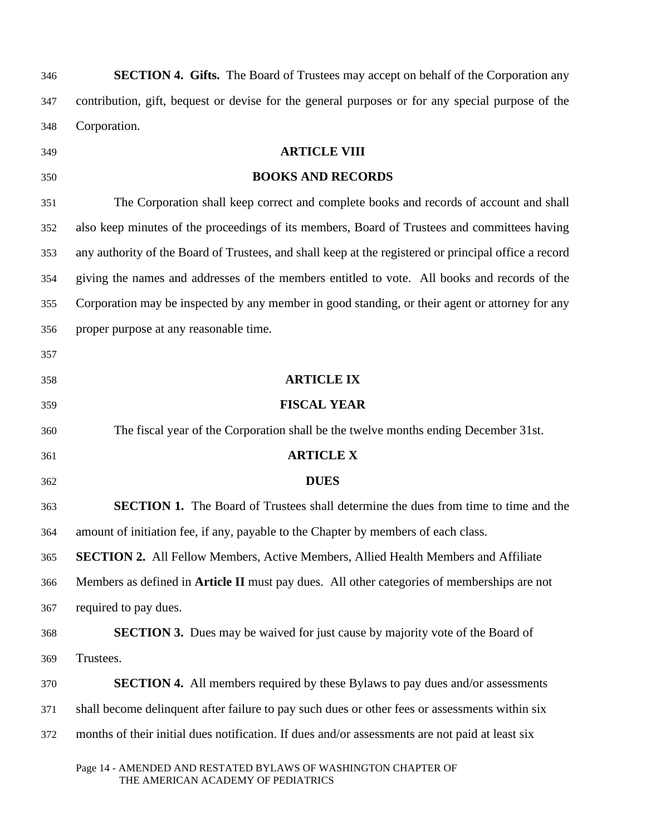| 346 | SECTION 4. Gifts. The Board of Trustees may accept on behalf of the Corporation any                   |
|-----|-------------------------------------------------------------------------------------------------------|
| 347 | contribution, gift, bequest or devise for the general purposes or for any special purpose of the      |
| 348 | Corporation.                                                                                          |
| 349 | <b>ARTICLE VIII</b>                                                                                   |
| 350 | <b>BOOKS AND RECORDS</b>                                                                              |
| 351 | The Corporation shall keep correct and complete books and records of account and shall                |
| 352 | also keep minutes of the proceedings of its members, Board of Trustees and committees having          |
| 353 | any authority of the Board of Trustees, and shall keep at the registered or principal office a record |
| 354 | giving the names and addresses of the members entitled to vote. All books and records of the          |
| 355 | Corporation may be inspected by any member in good standing, or their agent or attorney for any       |
| 356 | proper purpose at any reasonable time.                                                                |
| 357 |                                                                                                       |
| 358 | <b>ARTICLE IX</b>                                                                                     |
| 359 | <b>FISCAL YEAR</b>                                                                                    |
| 360 | The fiscal year of the Corporation shall be the twelve months ending December 31st.                   |
| 361 | <b>ARTICLE X</b>                                                                                      |
| 362 | <b>DUES</b>                                                                                           |
| 363 | <b>SECTION 1.</b> The Board of Trustees shall determine the dues from time to time and the            |
| 364 | amount of initiation fee, if any, payable to the Chapter by members of each class.                    |
| 365 | <b>SECTION 2.</b> All Fellow Members, Active Members, Allied Health Members and Affiliate             |
| 366 | Members as defined in <b>Article II</b> must pay dues. All other categories of memberships are not    |
| 367 | required to pay dues.                                                                                 |
| 368 | <b>SECTION 3.</b> Dues may be waived for just cause by majority vote of the Board of                  |
| 369 | Trustees.                                                                                             |
| 370 | <b>SECTION 4.</b> All members required by these Bylaws to pay dues and/or assessments                 |
| 371 | shall become delinquent after failure to pay such dues or other fees or assessments within six        |
| 372 | months of their initial dues notification. If dues and/or assessments are not paid at least six       |
|     | Page 14 - AMENDED AND RESTATED BYLAWS OF WASHINGTON CHAPTER OF<br>THE AMERICAN ACADEMY OF PEDIATRICS  |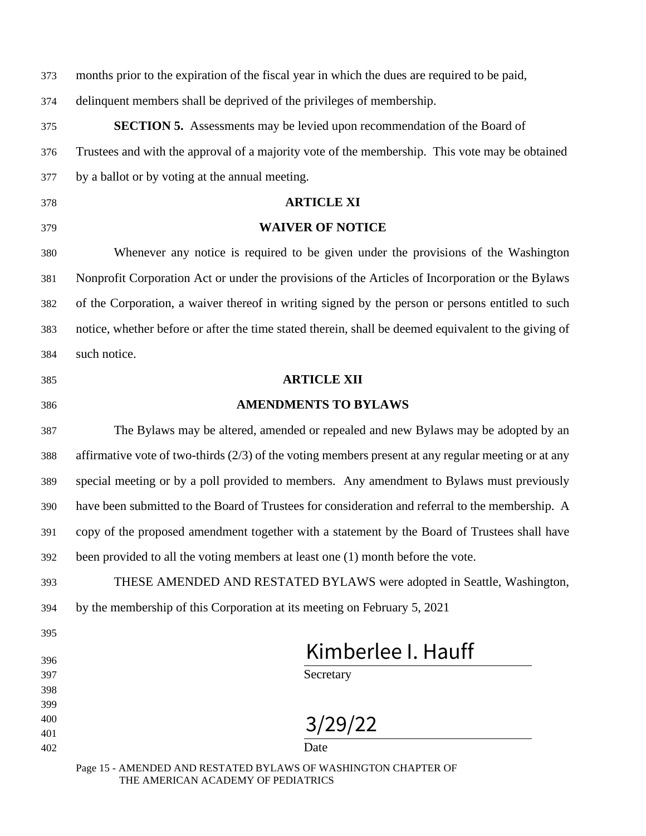| 373        | months prior to the expiration of the fiscal year in which the dues are required to be paid,          |
|------------|-------------------------------------------------------------------------------------------------------|
| 374        | delinquent members shall be deprived of the privileges of membership.                                 |
| 375        | <b>SECTION 5.</b> Assessments may be levied upon recommendation of the Board of                       |
| 376        | Trustees and with the approval of a majority vote of the membership. This vote may be obtained        |
| 377        | by a ballot or by voting at the annual meeting.                                                       |
| 378        | <b>ARTICLE XI</b>                                                                                     |
| 379        | <b>WAIVER OF NOTICE</b>                                                                               |
| 380        | Whenever any notice is required to be given under the provisions of the Washington                    |
| 381        | Nonprofit Corporation Act or under the provisions of the Articles of Incorporation or the Bylaws      |
| 382        | of the Corporation, a waiver thereof in writing signed by the person or persons entitled to such      |
| 383        | notice, whether before or after the time stated therein, shall be deemed equivalent to the giving of  |
| 384        | such notice.                                                                                          |
| 385        | <b>ARTICLE XII</b>                                                                                    |
| 386        | <b>AMENDMENTS TO BYLAWS</b>                                                                           |
| 387        | The Bylaws may be altered, amended or repealed and new Bylaws may be adopted by an                    |
| 388        | affirmative vote of two-thirds $(2/3)$ of the voting members present at any regular meeting or at any |
| 389        | special meeting or by a poll provided to members. Any amendment to Bylaws must previously             |
| 390        | have been submitted to the Board of Trustees for consideration and referral to the membership. A      |
| 391        | copy of the proposed amendment together with a statement by the Board of Trustees shall have          |
| 392        | been provided to all the voting members at least one (1) month before the vote.                       |
| 393        | THESE AMENDED AND RESTATED BYLAWS were adopted in Seattle, Washington,                                |
| 394        | by the membership of this Corporation at its meeting on February 5, 2021                              |
| 395        |                                                                                                       |
| 396        | Kimberlee I. Hauff                                                                                    |
| 397        | Secretary                                                                                             |
| 398<br>399 |                                                                                                       |
| 400        | 3/29/22                                                                                               |
| 401        |                                                                                                       |
| 402        | Date                                                                                                  |
|            | Page 15 - AMENDED AND RESTATED BYLAWS OF WASHINGTON CHAPTER OF                                        |

THE AMERICAN ACADEMY OF PEDIATRICS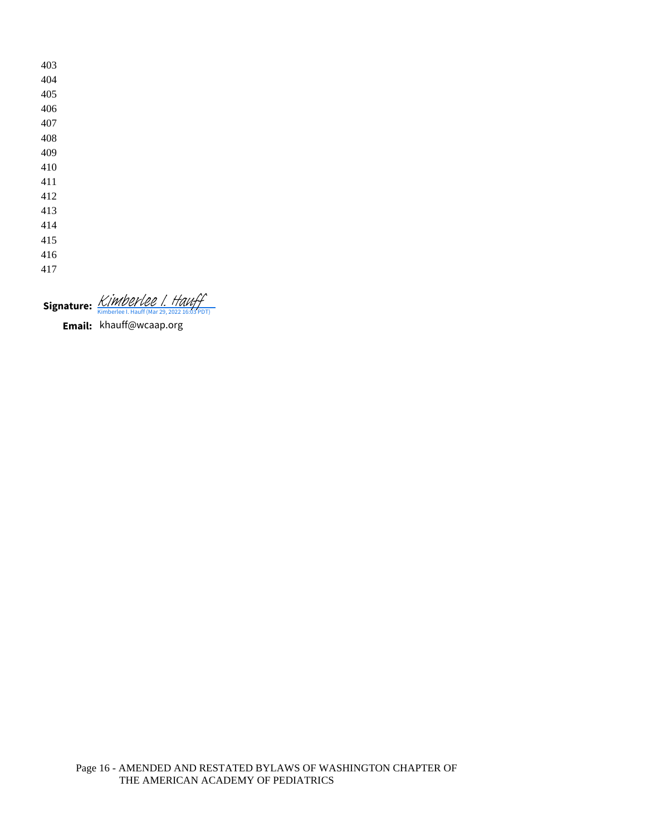Signature: **[Kimberlee I. Hauff](https://na2.documents.adobe.com/verifier?tx=CBJCHBCAABAAd8CFTxveWPbjhfqMk6PaJq8dp7YSbWxI)** 

**Email:** khauff@wcaap.org